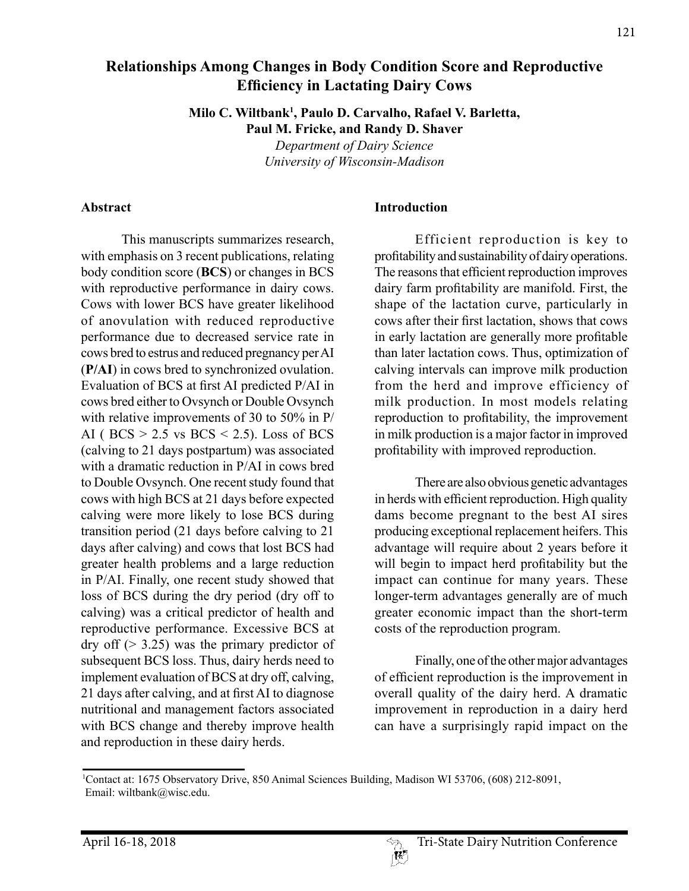# **Relationships Among Changes in Body Condition Score and Reproductive Efficiency in Lactating Dairy Cows**

**Milo C. Wiltbank1 , Paulo D. Carvalho, Rafael V. Barletta, Paul M. Fricke, and Randy D. Shaver**

> *Department of Dairy Science University of Wisconsin-Madison*

#### **Abstract**

This manuscripts summarizes research, with emphasis on 3 recent publications, relating body condition score (**BCS**) or changes in BCS with reproductive performance in dairy cows. Cows with lower BCS have greater likelihood of anovulation with reduced reproductive performance due to decreased service rate in cows bred to estrus and reduced pregnancy per AI (**P/AI**) in cows bred to synchronized ovulation. Evaluation of BCS at first AI predicted P/AI in cows bred either to Ovsynch or Double Ovsynch with relative improvements of 30 to 50% in P/ AI ( $BCS > 2.5$  vs  $BCS < 2.5$ ). Loss of BCS (calving to 21 days postpartum) was associated with a dramatic reduction in P/AI in cows bred to Double Ovsynch. One recent study found that cows with high BCS at 21 days before expected calving were more likely to lose BCS during transition period (21 days before calving to 21 days after calving) and cows that lost BCS had greater health problems and a large reduction in P/AI. Finally, one recent study showed that loss of BCS during the dry period (dry off to calving) was a critical predictor of health and reproductive performance. Excessive BCS at dry off  $(> 3.25)$  was the primary predictor of subsequent BCS loss. Thus, dairy herds need to implement evaluation of BCS at dry off, calving, 21 days after calving, and at first AI to diagnose nutritional and management factors associated with BCS change and thereby improve health and reproduction in these dairy herds.

#### **Introduction**

Efficient reproduction is key to profitability and sustainability of dairy operations. The reasons that efficient reproduction improves dairy farm profitability are manifold. First, the shape of the lactation curve, particularly in cows after their first lactation, shows that cows in early lactation are generally more profitable than later lactation cows. Thus, optimization of calving intervals can improve milk production from the herd and improve efficiency of milk production. In most models relating reproduction to profitability, the improvement in milk production is a major factor in improved profitability with improved reproduction.

There are also obvious genetic advantages in herds with efficient reproduction. High quality dams become pregnant to the best AI sires producing exceptional replacement heifers. This advantage will require about 2 years before it will begin to impact herd profitability but the impact can continue for many years. These longer-term advantages generally are of much greater economic impact than the short-term costs of the reproduction program.

Finally, one of the other major advantages of efficient reproduction is the improvement in overall quality of the dairy herd. A dramatic improvement in reproduction in a dairy herd can have a surprisingly rapid impact on the

<sup>1</sup> Contact at: 1675 Observatory Drive, 850 Animal Sciences Building, Madison WI 53706, (608) 212-8091, Email: wiltbank@wisc.edu.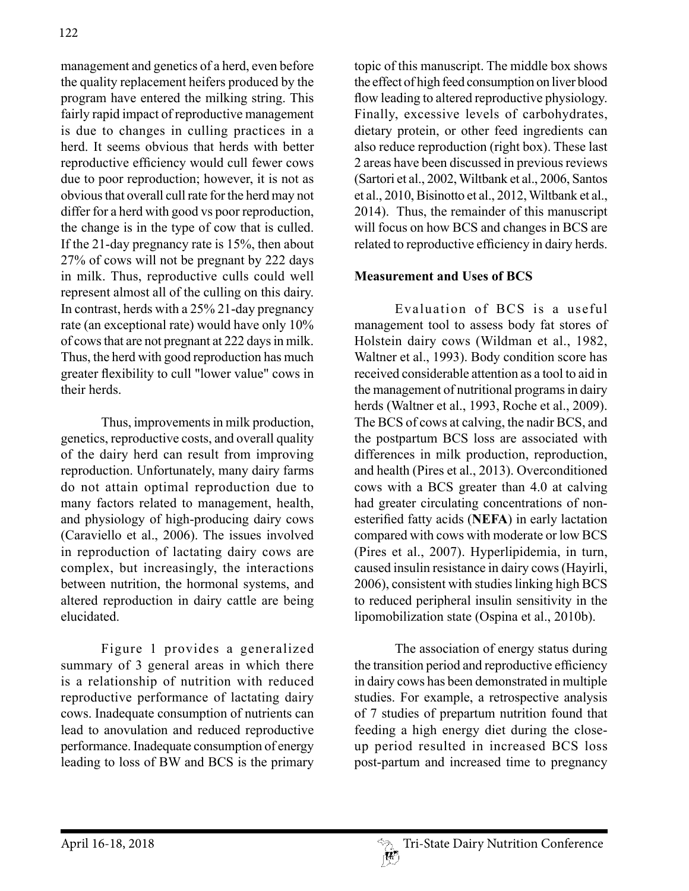management and genetics of a herd, even before the quality replacement heifers produced by the program have entered the milking string. This fairly rapid impact of reproductive management is due to changes in culling practices in a herd. It seems obvious that herds with better reproductive efficiency would cull fewer cows due to poor reproduction; however, it is not as obvious that overall cull rate for the herd may not differ for a herd with good vs poor reproduction, the change is in the type of cow that is culled. If the 21-day pregnancy rate is 15%, then about 27% of cows will not be pregnant by 222 days in milk. Thus, reproductive culls could well represent almost all of the culling on this dairy. In contrast, herds with a 25% 21-day pregnancy rate (an exceptional rate) would have only 10% of cows that are not pregnant at 222 days in milk. Thus, the herd with good reproduction has much greater flexibility to cull "lower value" cows in their herds.

Thus, improvements in milk production, genetics, reproductive costs, and overall quality of the dairy herd can result from improving reproduction. Unfortunately, many dairy farms do not attain optimal reproduction due to many factors related to management, health, and physiology of high-producing dairy cows (Caraviello et al., 2006). The issues involved in reproduction of lactating dairy cows are complex, but increasingly, the interactions between nutrition, the hormonal systems, and altered reproduction in dairy cattle are being elucidated.

Figure 1 provides a generalized summary of 3 general areas in which there is a relationship of nutrition with reduced reproductive performance of lactating dairy cows. Inadequate consumption of nutrients can lead to anovulation and reduced reproductive performance. Inadequate consumption of energy leading to loss of BW and BCS is the primary

topic of this manuscript. The middle box shows the effect of high feed consumption on liver blood flow leading to altered reproductive physiology. Finally, excessive levels of carbohydrates, dietary protein, or other feed ingredients can also reduce reproduction (right box). These last 2 areas have been discussed in previous reviews (Sartori et al., 2002, Wiltbank et al., 2006, Santos et al., 2010, Bisinotto et al., 2012, Wiltbank et al., 2014). Thus, the remainder of this manuscript will focus on how BCS and changes in BCS are related to reproductive efficiency in dairy herds.

### **Measurement and Uses of BCS**

Evaluation of BCS is a useful management tool to assess body fat stores of Holstein dairy cows (Wildman et al., 1982, Waltner et al., 1993). Body condition score has received considerable attention as a tool to aid in the management of nutritional programs in dairy herds (Waltner et al., 1993, Roche et al., 2009). The BCS of cows at calving, the nadir BCS, and the postpartum BCS loss are associated with differences in milk production, reproduction, and health (Pires et al., 2013). Overconditioned cows with a BCS greater than 4.0 at calving had greater circulating concentrations of nonesterified fatty acids (**NEFA**) in early lactation compared with cows with moderate or low BCS (Pires et al., 2007). Hyperlipidemia, in turn, caused insulin resistance in dairy cows (Hayirli, 2006), consistent with studies linking high BCS to reduced peripheral insulin sensitivity in the lipomobilization state (Ospina et al., 2010b).

The association of energy status during the transition period and reproductive efficiency in dairy cows has been demonstrated in multiple studies. For example, a retrospective analysis of 7 studies of prepartum nutrition found that feeding a high energy diet during the closeup period resulted in increased BCS loss post-partum and increased time to pregnancy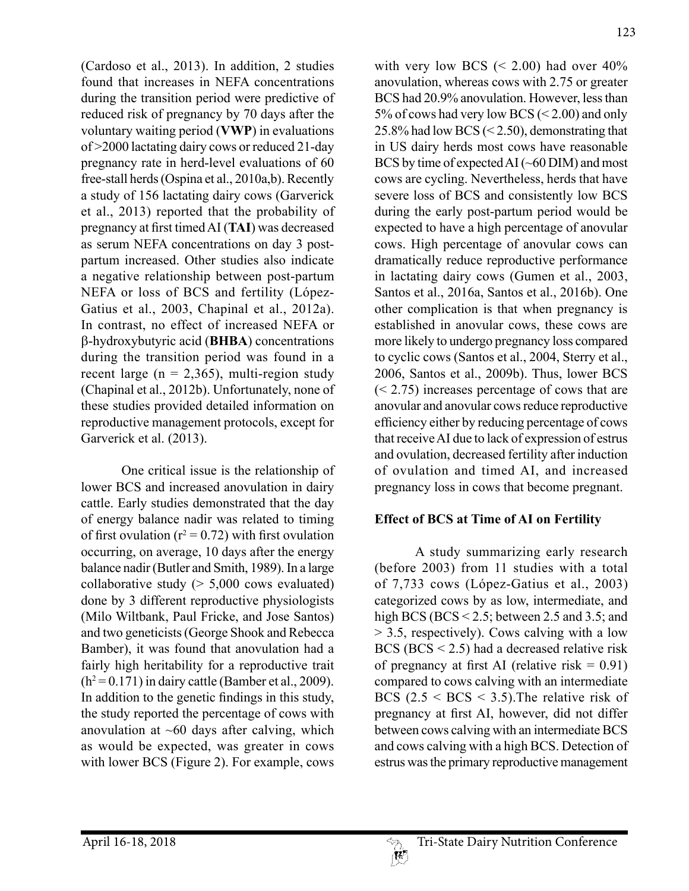with very low BCS  $(< 2.00)$  had over 40% anovulation, whereas cows with 2.75 or greater BCS had 20.9% anovulation. However, less than 5% of cows had very low BCS (< 2.00) and only

(Cardoso et al., 2013). In addition, 2 studies found that increases in NEFA concentrations during the transition period were predictive of reduced risk of pregnancy by 70 days after the voluntary waiting period (**VWP**) in evaluations of >2000 lactating dairy cows or reduced 21-day pregnancy rate in herd-level evaluations of 60 free-stall herds (Ospina et al., 2010a,b). Recently a study of 156 lactating dairy cows (Garverick et al., 2013) reported that the probability of pregnancy at first timed AI (**TAI**) was decreased as serum NEFA concentrations on day 3 postpartum increased. Other studies also indicate a negative relationship between post-partum NEFA or loss of BCS and fertility (López-Gatius et al., 2003, Chapinal et al., 2012a). In contrast, no effect of increased NEFA or b-hydroxybutyric acid (**BHBA**) concentrations during the transition period was found in a recent large ( $n = 2,365$ ), multi-region study (Chapinal et al., 2012b). Unfortunately, none of these studies provided detailed information on reproductive management protocols, except for Garverick et al. (2013).

One critical issue is the relationship of lower BCS and increased anovulation in dairy cattle. Early studies demonstrated that the day of energy balance nadir was related to timing of first ovulation ( $r^2 = 0.72$ ) with first ovulation occurring, on average, 10 days after the energy balance nadir (Butler and Smith, 1989). In a large collaborative study  $(> 5,000$  cows evaluated) done by 3 different reproductive physiologists (Milo Wiltbank, Paul Fricke, and Jose Santos) and two geneticists (George Shook and Rebecca Bamber), it was found that anovulation had a fairly high heritability for a reproductive trait  $(h^2=0.171)$  in dairy cattle (Bamber et al., 2009). In addition to the genetic findings in this study, the study reported the percentage of cows with anovulation at  $~60$  days after calving, which as would be expected, was greater in cows with lower BCS (Figure 2). For example, cows

25.8% had low BCS (< 2.50), demonstrating that in US dairy herds most cows have reasonable BCS by time of expected AI (~60 DIM) and most cows are cycling. Nevertheless, herds that have severe loss of BCS and consistently low BCS during the early post-partum period would be expected to have a high percentage of anovular cows. High percentage of anovular cows can dramatically reduce reproductive performance in lactating dairy cows (Gumen et al., 2003, Santos et al., 2016a, Santos et al., 2016b). One other complication is that when pregnancy is established in anovular cows, these cows are more likely to undergo pregnancy loss compared to cyclic cows (Santos et al., 2004, Sterry et al., 2006, Santos et al., 2009b). Thus, lower BCS (< 2.75) increases percentage of cows that are anovular and anovular cows reduce reproductive efficiency either by reducing percentage of cows that receive AI due to lack of expression of estrus and ovulation, decreased fertility after induction of ovulation and timed AI, and increased pregnancy loss in cows that become pregnant.

## **Effect of BCS at Time of AI on Fertility**

A study summarizing early research (before 2003) from 11 studies with a total of 7,733 cows (López-Gatius et al., 2003) categorized cows by as low, intermediate, and high BCS (BCS < 2.5; between 2.5 and 3.5; and > 3.5, respectively). Cows calving with a low BCS (BCS < 2.5) had a decreased relative risk of pregnancy at first AI (relative risk  $= 0.91$ ) compared to cows calving with an intermediate BCS  $(2.5 < BCS < 3.5)$ . The relative risk of pregnancy at first AI, however, did not differ between cows calving with an intermediate BCS and cows calving with a high BCS. Detection of estrus was the primary reproductive management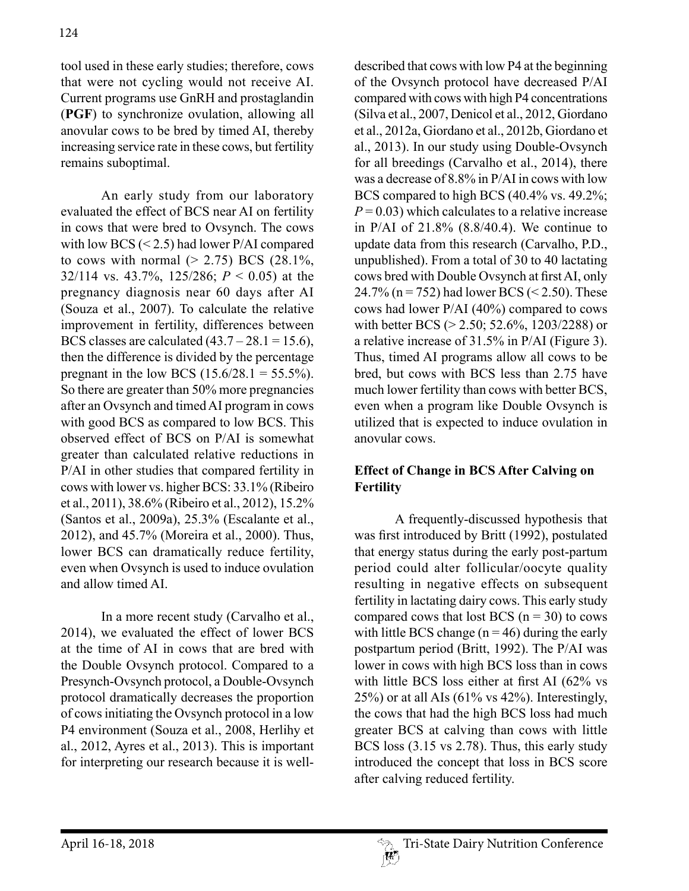tool used in these early studies; therefore, cows that were not cycling would not receive AI. Current programs use GnRH and prostaglandin (**PGF**) to synchronize ovulation, allowing all anovular cows to be bred by timed AI, thereby increasing service rate in these cows, but fertility remains suboptimal.

An early study from our laboratory evaluated the effect of BCS near AI on fertility in cows that were bred to Ovsynch. The cows with low BCS (< 2.5) had lower P/AI compared to cows with normal  $(> 2.75)$  BCS  $(28.1\%$ , 32/114 vs. 43.7%, 125/286; *P* < 0.05) at the pregnancy diagnosis near 60 days after AI (Souza et al., 2007). To calculate the relative improvement in fertility, differences between BCS classes are calculated  $(43.7 - 28.1 = 15.6)$ , then the difference is divided by the percentage pregnant in the low BCS  $(15.6/28.1 = 55.5\%)$ . So there are greater than 50% more pregnancies after an Ovsynch and timed AI program in cows with good BCS as compared to low BCS. This observed effect of BCS on P/AI is somewhat greater than calculated relative reductions in P/AI in other studies that compared fertility in cows with lower vs. higher BCS: 33.1% (Ribeiro et al., 2011), 38.6% (Ribeiro et al., 2012), 15.2% (Santos et al., 2009a), 25.3% (Escalante et al., 2012), and 45.7% (Moreira et al., 2000). Thus, lower BCS can dramatically reduce fertility, even when Ovsynch is used to induce ovulation and allow timed AI.

In a more recent study (Carvalho et al., 2014), we evaluated the effect of lower BCS at the time of AI in cows that are bred with the Double Ovsynch protocol. Compared to a Presynch-Ovsynch protocol, a Double-Ovsynch protocol dramatically decreases the proportion of cows initiating the Ovsynch protocol in a low P4 environment (Souza et al., 2008, Herlihy et al., 2012, Ayres et al., 2013). This is important for interpreting our research because it is welldescribed that cows with low P4 at the beginning of the Ovsynch protocol have decreased P/AI compared with cows with high P4 concentrations (Silva et al., 2007, Denicol et al., 2012, Giordano et al., 2012a, Giordano et al., 2012b, Giordano et al., 2013). In our study using Double-Ovsynch for all breedings (Carvalho et al., 2014), there was a decrease of 8.8% in P/AI in cows with low BCS compared to high BCS (40.4% vs. 49.2%;  $P = 0.03$ ) which calculates to a relative increase in P/AI of 21.8% (8.8/40.4). We continue to update data from this research (Carvalho, P.D., unpublished). From a total of 30 to 40 lactating cows bred with Double Ovsynch at first AI, only 24.7% ( $n = 752$ ) had lower BCS (< 2.50). These cows had lower P/AI (40%) compared to cows with better BCS (> 2.50; 52.6%, 1203/2288) or a relative increase of 31.5% in P/AI (Figure 3). Thus, timed AI programs allow all cows to be bred, but cows with BCS less than 2.75 have much lower fertility than cows with better BCS, even when a program like Double Ovsynch is utilized that is expected to induce ovulation in anovular cows.

### **Effect of Change in BCS After Calving on Fertility**

A frequently-discussed hypothesis that was first introduced by Britt (1992), postulated that energy status during the early post-partum period could alter follicular/oocyte quality resulting in negative effects on subsequent fertility in lactating dairy cows. This early study compared cows that lost BCS  $(n = 30)$  to cows with little BCS change  $(n = 46)$  during the early postpartum period (Britt, 1992). The P/AI was lower in cows with high BCS loss than in cows with little BCS loss either at first AI (62% vs  $25\%$ ) or at all AIs (61% vs 42%). Interestingly, the cows that had the high BCS loss had much greater BCS at calving than cows with little BCS loss (3.15 vs 2.78). Thus, this early study introduced the concept that loss in BCS score after calving reduced fertility.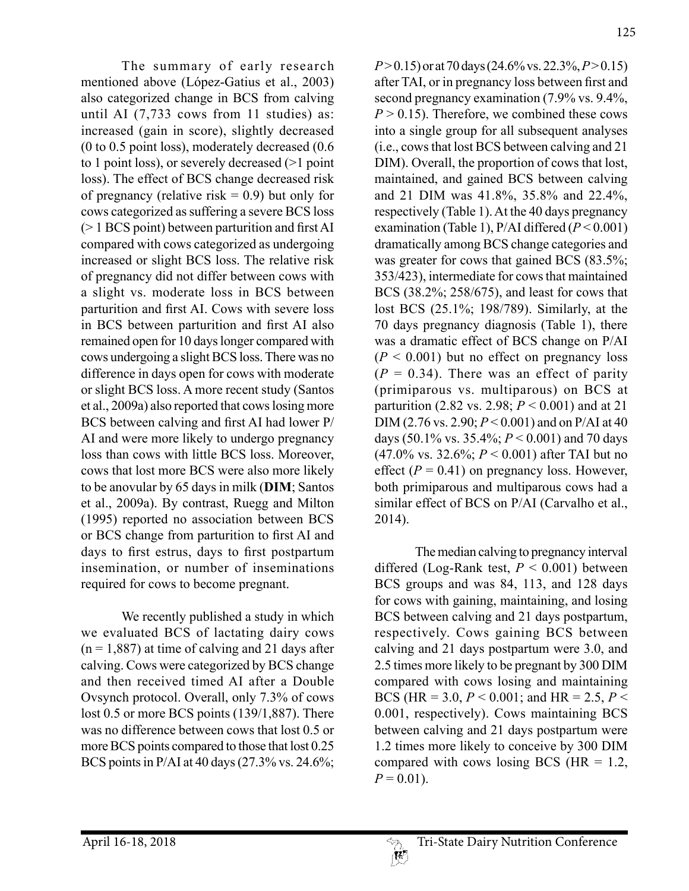The summary of early research mentioned above (López-Gatius et al., 2003) also categorized change in BCS from calving until AI (7,733 cows from 11 studies) as: increased (gain in score), slightly decreased (0 to 0.5 point loss), moderately decreased (0.6 to 1 point loss), or severely decreased (>1 point loss). The effect of BCS change decreased risk of pregnancy (relative risk  $= 0.9$ ) but only for cows categorized as suffering a severe BCS loss (> 1 BCS point) between parturition and first AI compared with cows categorized as undergoing increased or slight BCS loss. The relative risk of pregnancy did not differ between cows with a slight vs. moderate loss in BCS between parturition and first AI. Cows with severe loss in BCS between parturition and first AI also remained open for 10 days longer compared with cows undergoing a slight BCS loss. There was no difference in days open for cows with moderate or slight BCS loss. A more recent study (Santos et al., 2009a) also reported that cows losing more BCS between calving and first AI had lower P/ AI and were more likely to undergo pregnancy loss than cows with little BCS loss. Moreover, cows that lost more BCS were also more likely to be anovular by 65 days in milk (**DIM**; Santos et al., 2009a). By contrast, Ruegg and Milton (1995) reported no association between BCS or BCS change from parturition to first AI and days to first estrus, days to first postpartum insemination, or number of inseminations required for cows to become pregnant.

We recently published a study in which we evaluated BCS of lactating dairy cows  $(n = 1,887)$  at time of calving and 21 days after calving. Cows were categorized by BCS change and then received timed AI after a Double Ovsynch protocol. Overall, only 7.3% of cows lost 0.5 or more BCS points (139/1,887). There was no difference between cows that lost 0.5 or more BCS points compared to those that lost 0.25 BCS points in P/AI at 40 days (27.3% vs. 24.6%; *P* > 0.15) or at 70 days (24.6% vs. 22.3%, *P* > 0.15) after TAI, or in pregnancy loss between first and second pregnancy examination (7.9% vs. 9.4%,  $P > 0.15$ ). Therefore, we combined these cows into a single group for all subsequent analyses (i.e., cows that lost BCS between calving and 21 DIM). Overall, the proportion of cows that lost, maintained, and gained BCS between calving and 21 DIM was 41.8%, 35.8% and 22.4%, respectively (Table 1). At the 40 days pregnancy examination (Table 1), P/AI differed (*P* < 0.001) dramatically among BCS change categories and was greater for cows that gained BCS (83.5%; 353/423), intermediate for cows that maintained BCS (38.2%; 258/675), and least for cows that lost BCS (25.1%; 198/789). Similarly, at the 70 days pregnancy diagnosis (Table 1), there was a dramatic effect of BCS change on P/AI  $(P < 0.001)$  but no effect on pregnancy loss  $(P = 0.34)$ . There was an effect of parity (primiparous vs. multiparous) on BCS at parturition (2.82 vs. 2.98; *P* < 0.001) and at 21 DIM (2.76 vs. 2.90; *P* < 0.001) and on P/AI at 40 days (50.1% vs. 35.4%; *P* < 0.001) and 70 days (47.0% vs. 32.6%; *P* < 0.001) after TAI but no effect  $(P = 0.41)$  on pregnancy loss. However, both primiparous and multiparous cows had a similar effect of BCS on P/AI (Carvalho et al., 2014).

The median calving to pregnancy interval differed (Log-Rank test, *P* < 0.001) between BCS groups and was 84, 113, and 128 days for cows with gaining, maintaining, and losing BCS between calving and 21 days postpartum, respectively. Cows gaining BCS between calving and 21 days postpartum were 3.0, and 2.5 times more likely to be pregnant by 300 DIM compared with cows losing and maintaining BCS (HR = 3.0, *P* < 0.001; and HR = 2.5, *P* < 0.001, respectively). Cows maintaining BCS between calving and 21 days postpartum were 1.2 times more likely to conceive by 300 DIM compared with cows losing BCS ( $HR = 1.2$ ,  $P = 0.01$ ).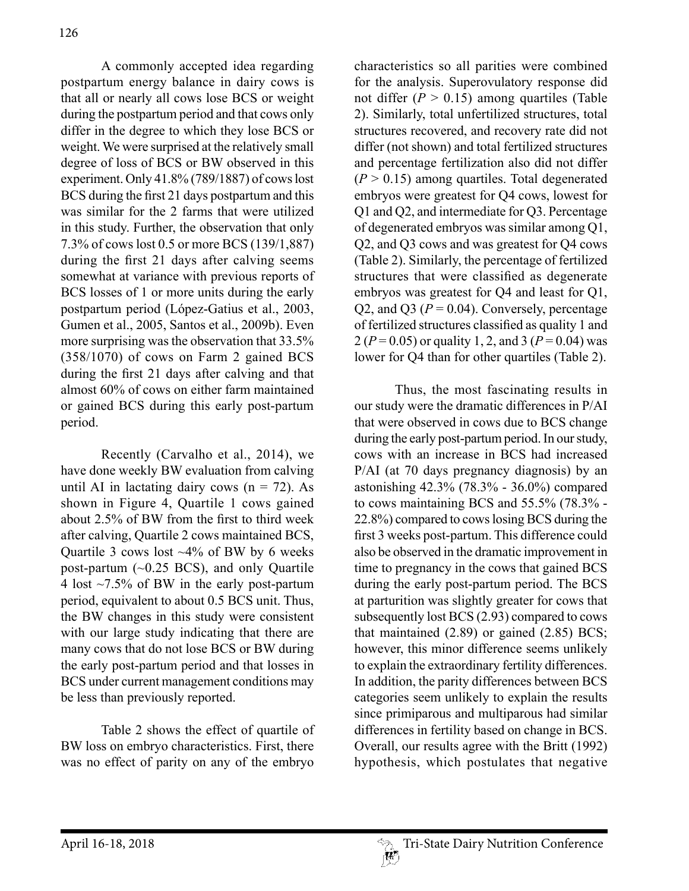A commonly accepted idea regarding postpartum energy balance in dairy cows is that all or nearly all cows lose BCS or weight during the postpartum period and that cows only differ in the degree to which they lose BCS or weight. We were surprised at the relatively small degree of loss of BCS or BW observed in this experiment. Only 41.8% (789/1887) of cows lost BCS during the first 21 days postpartum and this was similar for the 2 farms that were utilized in this study. Further, the observation that only 7.3% of cows lost 0.5 or more BCS (139/1,887) during the first 21 days after calving seems somewhat at variance with previous reports of BCS losses of 1 or more units during the early postpartum period (López-Gatius et al., 2003, Gumen et al., 2005, Santos et al., 2009b). Even more surprising was the observation that 33.5% (358/1070) of cows on Farm 2 gained BCS during the first 21 days after calving and that almost 60% of cows on either farm maintained or gained BCS during this early post-partum period.

Recently (Carvalho et al., 2014), we have done weekly BW evaluation from calving until AI in lactating dairy cows  $(n = 72)$ . As shown in Figure 4, Quartile 1 cows gained about 2.5% of BW from the first to third week after calving, Quartile 2 cows maintained BCS, Quartile 3 cows lost ~4% of BW by 6 weeks post-partum (~0.25 BCS), and only Quartile 4 lost ~7.5% of BW in the early post-partum period, equivalent to about 0.5 BCS unit. Thus, the BW changes in this study were consistent with our large study indicating that there are many cows that do not lose BCS or BW during the early post-partum period and that losses in BCS under current management conditions may be less than previously reported.

Table 2 shows the effect of quartile of BW loss on embryo characteristics. First, there was no effect of parity on any of the embryo

characteristics so all parities were combined for the analysis. Superovulatory response did not differ  $(P > 0.15)$  among quartiles (Table 2). Similarly, total unfertilized structures, total structures recovered, and recovery rate did not differ (not shown) and total fertilized structures and percentage fertilization also did not differ  $(P > 0.15)$  among quartiles. Total degenerated embryos were greatest for Q4 cows, lowest for Q1 and Q2, and intermediate for Q3. Percentage of degenerated embryos was similar among Q1, Q2, and Q3 cows and was greatest for Q4 cows (Table 2). Similarly, the percentage of fertilized structures that were classified as degenerate embryos was greatest for Q4 and least for Q1, Q2, and Q3 ( $P = 0.04$ ). Conversely, percentage of fertilized structures classified as quality 1 and  $2 (P = 0.05)$  or quality 1, 2, and 3 ( $P = 0.04$ ) was lower for Q4 than for other quartiles (Table 2).

Thus, the most fascinating results in our study were the dramatic differences in P/AI that were observed in cows due to BCS change during the early post-partum period. In our study, cows with an increase in BCS had increased P/AI (at 70 days pregnancy diagnosis) by an astonishing 42.3% (78.3% - 36.0%) compared to cows maintaining BCS and 55.5% (78.3% - 22.8%) compared to cows losing BCS during the first 3 weeks post-partum. This difference could also be observed in the dramatic improvement in time to pregnancy in the cows that gained BCS during the early post-partum period. The BCS at parturition was slightly greater for cows that subsequently lost BCS (2.93) compared to cows that maintained  $(2.89)$  or gained  $(2.85)$  BCS; however, this minor difference seems unlikely to explain the extraordinary fertility differences. In addition, the parity differences between BCS categories seem unlikely to explain the results since primiparous and multiparous had similar differences in fertility based on change in BCS. Overall, our results agree with the Britt (1992) hypothesis, which postulates that negative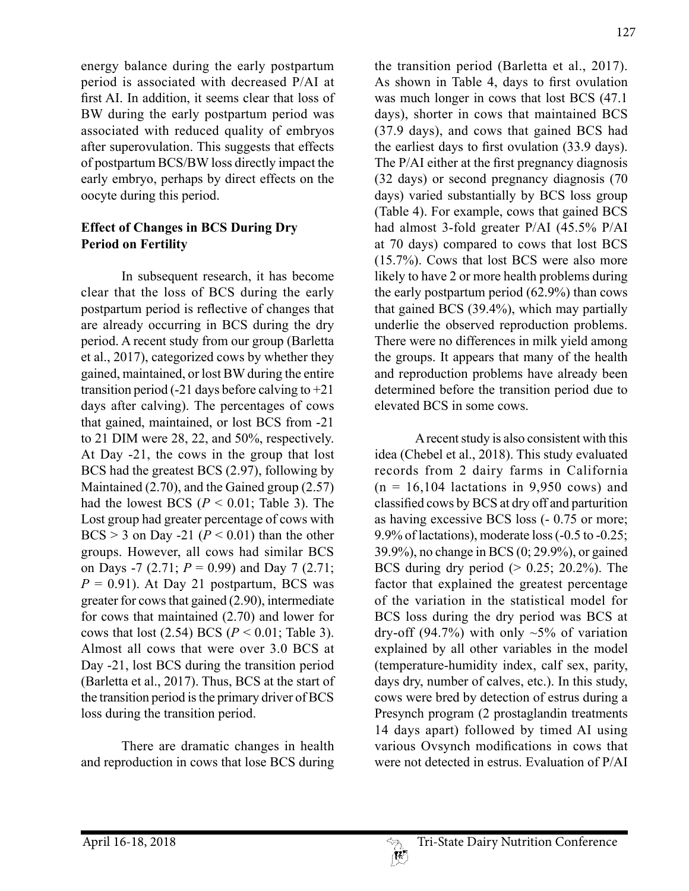energy balance during the early postpartum period is associated with decreased P/AI at first AI. In addition, it seems clear that loss of BW during the early postpartum period was associated with reduced quality of embryos after superovulation. This suggests that effects of postpartum BCS/BW loss directly impact the early embryo, perhaps by direct effects on the oocyte during this period.

### **Effect of Changes in BCS During Dry Period on Fertility**

In subsequent research, it has become clear that the loss of BCS during the early postpartum period is reflective of changes that are already occurring in BCS during the dry period. A recent study from our group (Barletta et al., 2017), categorized cows by whether they gained, maintained, or lost BW during the entire transition period  $(-21)$  days before calving to  $+21$ days after calving). The percentages of cows that gained, maintained, or lost BCS from -21 to 21 DIM were 28, 22, and 50%, respectively. At Day -21, the cows in the group that lost BCS had the greatest BCS (2.97), following by Maintained (2.70), and the Gained group (2.57) had the lowest BCS  $(P < 0.01$ ; Table 3). The Lost group had greater percentage of cows with BCS  $>$  3 on Day -21 ( $P$  < 0.01) than the other groups. However, all cows had similar BCS on Days -7 (2.71; *P* = 0.99) and Day 7 (2.71;  $P = 0.91$ . At Day 21 postpartum, BCS was greater for cows that gained (2.90), intermediate for cows that maintained (2.70) and lower for cows that lost  $(2.54)$  BCS  $(P < 0.01$ ; Table 3). Almost all cows that were over 3.0 BCS at Day -21, lost BCS during the transition period (Barletta et al., 2017). Thus, BCS at the start of the transition period is the primary driver of BCS loss during the transition period.

There are dramatic changes in health and reproduction in cows that lose BCS during the transition period (Barletta et al., 2017). As shown in Table 4, days to first ovulation was much longer in cows that lost BCS  $(47.1)$ days), shorter in cows that maintained BCS (37.9 days), and cows that gained BCS had the earliest days to first ovulation (33.9 days). The P/AI either at the first pregnancy diagnosis (32 days) or second pregnancy diagnosis (70 days) varied substantially by BCS loss group (Table 4). For example, cows that gained BCS had almost 3-fold greater P/AI (45.5% P/AI at 70 days) compared to cows that lost BCS (15.7%). Cows that lost BCS were also more likely to have 2 or more health problems during the early postpartum period (62.9%) than cows that gained BCS (39.4%), which may partially underlie the observed reproduction problems. There were no differences in milk yield among the groups. It appears that many of the health and reproduction problems have already been determined before the transition period due to elevated BCS in some cows.

A recent study is also consistent with this idea (Chebel et al., 2018). This study evaluated records from 2 dairy farms in California  $(n = 16,104$  lactations in 9,950 cows) and classified cows by BCS at dry off and parturition as having excessive BCS loss (- 0.75 or more; 9.9% of lactations), moderate loss (-0.5 to -0.25; 39.9%), no change in BCS (0; 29.9%), or gained BCS during dry period  $(> 0.25; 20.2\%)$ . The factor that explained the greatest percentage of the variation in the statistical model for BCS loss during the dry period was BCS at dry-off (94.7%) with only  $\sim$ 5% of variation explained by all other variables in the model (temperature-humidity index, calf sex, parity, days dry, number of calves, etc.). In this study, cows were bred by detection of estrus during a Presynch program (2 prostaglandin treatments 14 days apart) followed by timed AI using various Ovsynch modifications in cows that were not detected in estrus. Evaluation of P/AI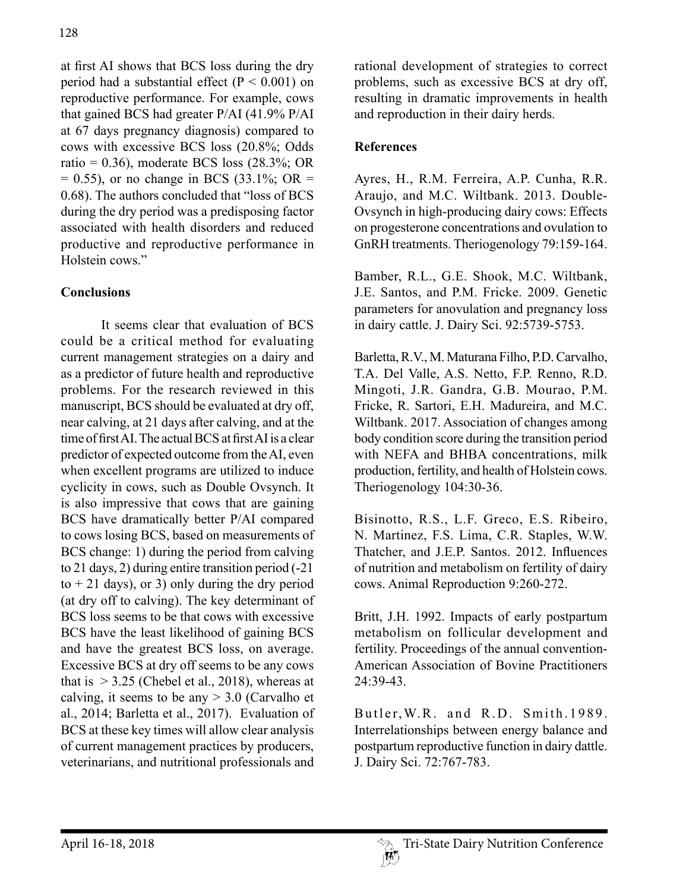at first AI shows that BCS loss during the dry period had a substantial effect  $(P < 0.001)$  on reproductive performance. For example, cows that gained BCS had greater P/AI (41.9% P/AI at 67 days pregnancy diagnosis) compared to cows with excessive BCS loss (20.8%; Odds ratio =  $0.36$ ), moderate BCS loss  $(28.3\%; OR)$  $= 0.55$ ), or no change in BCS (33.1%; OR  $=$ 0.68). The authors concluded that "loss of BCS during the dry period was a predisposing factor associated with health disorders and reduced productive and reproductive performance in Holstein cows."

## **Conclusions**

It seems clear that evaluation of BCS could be a critical method for evaluating current management strategies on a dairy and as a predictor of future health and reproductive problems. For the research reviewed in this manuscript, BCS should be evaluated at dry off, near calving, at 21 days after calving, and at the time of first AI. The actual BCS at first AI is a clear predictor of expected outcome from the AI, even when excellent programs are utilized to induce cyclicity in cows, such as Double Ovsynch. It is also impressive that cows that are gaining BCS have dramatically better P/AI compared to cows losing BCS, based on measurements of BCS change: 1) during the period from calving to 21 days, 2) during entire transition period (-21  $to + 21$  days), or 3) only during the dry period (at dry off to calving). The key determinant of BCS loss seems to be that cows with excessive BCS have the least likelihood of gaining BCS and have the greatest BCS loss, on average. Excessive BCS at dry off seems to be any cows that is  $>$  3.25 (Chebel et al., 2018), whereas at calving, it seems to be any  $> 3.0$  (Carvalho et al., 2014; Barletta et al., 2017). Evaluation of BCS at these key times will allow clear analysis of current management practices by producers, veterinarians, and nutritional professionals and

rational development of strategies to correct problems, such as excessive BCS at dry off, resulting in dramatic improvements in health and reproduction in their dairy herds.

### **References**

Ayres, H., R.M. Ferreira, A.P. Cunha, R.R. Araujo, and M.C. Wiltbank. 2013. Double-Ovsynch in high-producing dairy cows: Effects on progesterone concentrations and ovulation to GnRH treatments. Theriogenology 79:159-164.

Bamber, R.L., G.E. Shook, M.C. Wiltbank, J.E. Santos, and P.M. Fricke. 2009. Genetic parameters for anovulation and pregnancy loss in dairy cattle. J. Dairy Sci. 92:5739-5753.

Barletta, R.V., M. Maturana Filho, P.D. Carvalho, T.A. Del Valle, A.S. Netto, F.P. Renno, R.D. Mingoti, J.R. Gandra, G.B. Mourao, P.M. Fricke, R. Sartori, E.H. Madureira, and M.C. Wiltbank. 2017. Association of changes among body condition score during the transition period with NEFA and BHBA concentrations, milk production, fertility, and health of Holstein cows. Theriogenology 104:30-36.

Bisinotto, R.S., L.F. Greco, E.S. Ribeiro, N. Martinez, F.S. Lima, C.R. Staples, W.W. Thatcher, and J.E.P. Santos. 2012. Influences of nutrition and metabolism on fertility of dairy cows. Animal Reproduction 9:260-272.

Britt, J.H. 1992. Impacts of early postpartum metabolism on follicular development and fertility. Proceedings of the annual convention-American Association of Bovine Practitioners 24:39-43.

Butler, W.R. and R.D. Smith. 1989. Interrelationships between energy balance and postpartum reproductive function in dairy dattle. J. Dairy Sci. 72:767-783.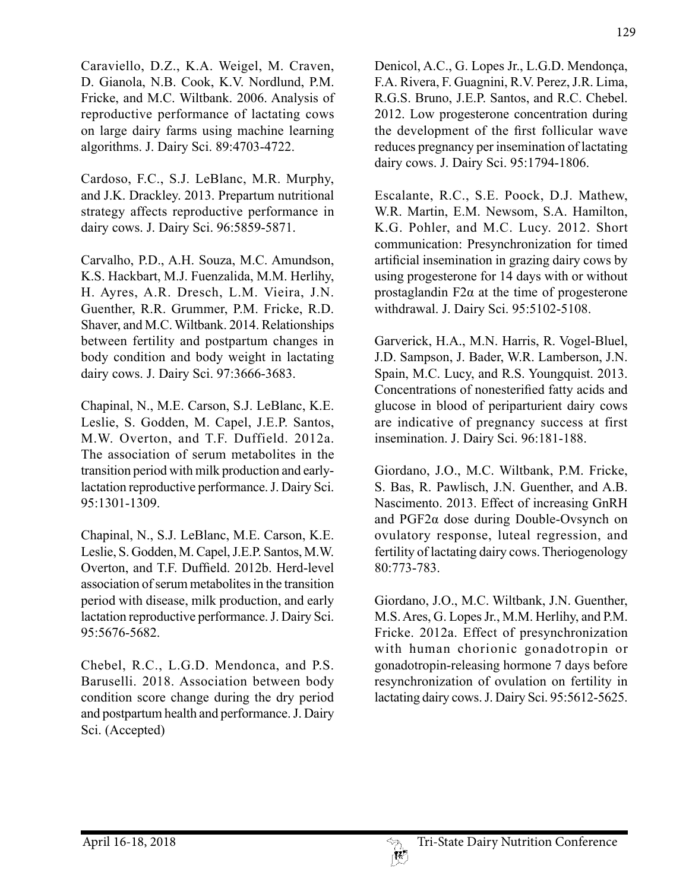Caraviello, D.Z., K.A. Weigel, M. Craven, D. Gianola, N.B. Cook, K.V. Nordlund, P.M. Fricke, and M.C. Wiltbank. 2006. Analysis of reproductive performance of lactating cows on large dairy farms using machine learning algorithms. J. Dairy Sci. 89:4703-4722.

Cardoso, F.C., S.J. LeBlanc, M.R. Murphy, and J.K. Drackley. 2013. Prepartum nutritional strategy affects reproductive performance in dairy cows. J. Dairy Sci. 96:5859-5871.

Carvalho, P.D., A.H. Souza, M.C. Amundson, K.S. Hackbart, M.J. Fuenzalida, M.M. Herlihy, H. Ayres, A.R. Dresch, L.M. Vieira, J.N. Guenther, R.R. Grummer, P.M. Fricke, R.D. Shaver, and M.C. Wiltbank. 2014. Relationships between fertility and postpartum changes in body condition and body weight in lactating dairy cows. J. Dairy Sci. 97:3666-3683.

Chapinal, N., M.E. Carson, S.J. LeBlanc, K.E. Leslie, S. Godden, M. Capel, J.E.P. Santos, M.W. Overton, and T.F. Duffield. 2012a. The association of serum metabolites in the transition period with milk production and earlylactation reproductive performance. J. Dairy Sci. 95:1301-1309.

Chapinal, N., S.J. LeBlanc, M.E. Carson, K.E. Leslie, S. Godden, M. Capel, J.E.P. Santos, M.W. Overton, and T.F. Duffield. 2012b. Herd-level association of serum metabolites in the transition period with disease, milk production, and early lactation reproductive performance. J. Dairy Sci. 95:5676-5682.

Chebel, R.C., L.G.D. Mendonca, and P.S. Baruselli. 2018. Association between body condition score change during the dry period and postpartum health and performance. J. Dairy Sci. (Accepted)

Denicol, A.C., G. Lopes Jr., L.G.D. Mendonça, F.A. Rivera, F. Guagnini, R.V. Perez, J.R. Lima, R.G.S. Bruno, J.E.P. Santos, and R.C. Chebel. 2012. Low progesterone concentration during the development of the first follicular wave reduces pregnancy per insemination of lactating dairy cows. J. Dairy Sci. 95:1794-1806.

Escalante, R.C., S.E. Poock, D.J. Mathew, W.R. Martin, E.M. Newsom, S.A. Hamilton, K.G. Pohler, and M.C. Lucy. 2012. Short communication: Presynchronization for timed artificial insemination in grazing dairy cows by using progesterone for 14 days with or without prostaglandin  $F2\alpha$  at the time of progesterone withdrawal. J. Dairy Sci. 95:5102-5108.

Garverick, H.A., M.N. Harris, R. Vogel-Bluel, J.D. Sampson, J. Bader, W.R. Lamberson, J.N. Spain, M.C. Lucy, and R.S. Youngquist. 2013. Concentrations of nonesterified fatty acids and glucose in blood of periparturient dairy cows are indicative of pregnancy success at first insemination. J. Dairy Sci. 96:181-188.

Giordano, J.O., M.C. Wiltbank, P.M. Fricke, S. Bas, R. Pawlisch, J.N. Guenther, and A.B. Nascimento. 2013. Effect of increasing GnRH and PGF2α dose during Double-Ovsynch on ovulatory response, luteal regression, and fertility of lactating dairy cows. Theriogenology 80:773-783.

Giordano, J.O., M.C. Wiltbank, J.N. Guenther, M.S. Ares, G. Lopes Jr., M.M. Herlihy, and P.M. Fricke. 2012a. Effect of presynchronization with human chorionic gonadotropin or gonadotropin-releasing hormone 7 days before resynchronization of ovulation on fertility in lactating dairy cows. J. Dairy Sci. 95:5612-5625.

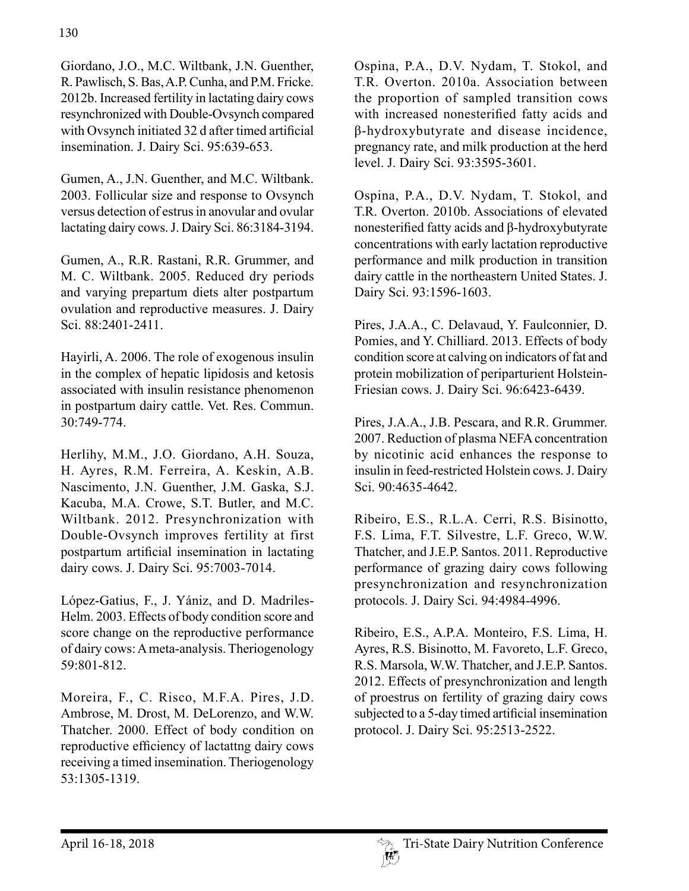Giordano, J.O., M.C. Wiltbank, J.N. Guenther, R. Pawlisch, S. Bas, A.P. Cunha, and P.M. Fricke. 2012b. Increased fertility in lactating dairy cows resynchronized with Double-Ovsynch compared with Ovsynch initiated 32 d after timed artificial insemination. J. Dairy Sci. 95:639-653.

Gumen, A., J.N. Guenther, and M.C. Wiltbank. 2003. Follicular size and response to Ovsynch versus detection of estrus in anovular and ovular lactating dairy cows. J. Dairy Sci. 86:3184-3194.

Gumen, A., R.R. Rastani, R.R. Grummer, and M. C. Wiltbank. 2005. Reduced dry periods and varying prepartum diets alter postpartum ovulation and reproductive measures. J. Dairy Sci. 88:2401-2411.

Hayirli, A. 2006. The role of exogenous insulin in the complex of hepatic lipidosis and ketosis associated with insulin resistance phenomenon in postpartum dairy cattle. Vet. Res. Commun. 30:749-774.

Herlihy, M.M., J.O. Giordano, A.H. Souza, H. Ayres, R.M. Ferreira, A. Keskin, A.B. Nascimento, J.N. Guenther, J.M. Gaska, S.J. Kacuba, M.A. Crowe, S.T. Butler, and M.C. Wiltbank. 2012. Presynchronization with Double-Ovsynch improves fertility at first postpartum artificial insemination in lactating dairy cows. J. Dairy Sci. 95:7003-7014.

López-Gatius, F., J. Yániz, and D. Madriles-Helm. 2003. Effects of body condition score and score change on the reproductive performance of dairy cows: A meta-analysis. Theriogenology 59:801-812.

Moreira, F., C. Risco, M.F.A. Pires, J.D. Ambrose, M. Drost, M. DeLorenzo, and W.W. Thatcher. 2000. Effect of body condition on reproductive efficiency of lactattng dairy cows receiving a timed insemination. Theriogenology 53:1305-1319.

Ospina, P.A., D.V. Nydam, T. Stokol, and T.R. Overton. 2010a. Association between the proportion of sampled transition cows with increased nonesterified fatty acids and β-hydroxybutyrate and disease incidence, pregnancy rate, and milk production at the herd level. J. Dairy Sci. 93:3595-3601.

Ospina, P.A., D.V. Nydam, T. Stokol, and T.R. Overton. 2010b. Associations of elevated nonesterified fatty acids and β-hydroxybutyrate concentrations with early lactation reproductive performance and milk production in transition dairy cattle in the northeastern United States. J. Dairy Sci. 93:1596-1603.

Pires, J.A.A., C. Delavaud, Y. Faulconnier, D. Pomies, and Y. Chilliard. 2013. Effects of body condition score at calving on indicators of fat and protein mobilization of periparturient Holstein-Friesian cows. J. Dairy Sci. 96:6423-6439.

Pires, J.A.A., J.B. Pescara, and R.R. Grummer. 2007. Reduction of plasma NEFA concentration by nicotinic acid enhances the response to insulin in feed-restricted Holstein cows. J. Dairy Sci. 90:4635-4642.

Ribeiro, E.S., R.L.A. Cerri, R.S. Bisinotto, F.S. Lima, F.T. Silvestre, L.F. Greco, W.W. Thatcher, and J.E.P. Santos. 2011. Reproductive performance of grazing dairy cows following presynchronization and resynchronization protocols. J. Dairy Sci. 94:4984-4996.

Ribeiro, E.S., A.P.A. Monteiro, F.S. Lima, H. Ayres, R.S. Bisinotto, M. Favoreto, L.F. Greco, R.S. Marsola, W.W. Thatcher, and J.E.P. Santos. 2012. Effects of presynchronization and length of proestrus on fertility of grazing dairy cows subjected to a 5-day timed artificial insemination protocol. J. Dairy Sci. 95:2513-2522.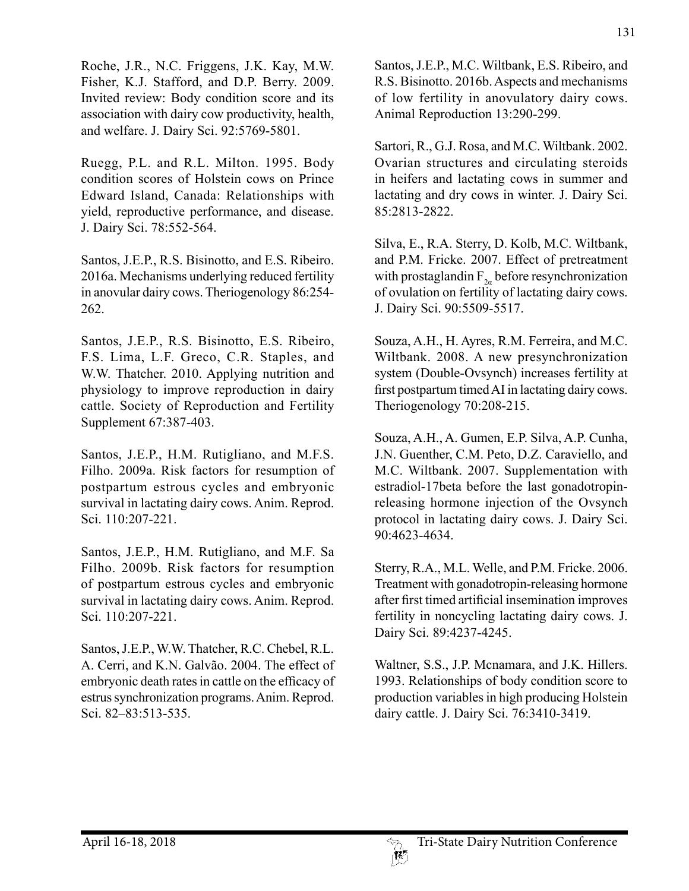Roche, J.R., N.C. Friggens, J.K. Kay, M.W. Fisher, K.J. Stafford, and D.P. Berry. 2009. Invited review: Body condition score and its association with dairy cow productivity, health, and welfare. J. Dairy Sci. 92:5769-5801.

Ruegg, P.L. and R.L. Milton. 1995. Body condition scores of Holstein cows on Prince Edward Island, Canada: Relationships with yield, reproductive performance, and disease. J. Dairy Sci. 78:552-564.

Santos, J.E.P., R.S. Bisinotto, and E.S. Ribeiro. 2016a. Mechanisms underlying reduced fertility in anovular dairy cows. Theriogenology 86:254- 262.

Santos, J.E.P., R.S. Bisinotto, E.S. Ribeiro, F.S. Lima, L.F. Greco, C.R. Staples, and W.W. Thatcher. 2010. Applying nutrition and physiology to improve reproduction in dairy cattle. Society of Reproduction and Fertility Supplement 67:387-403.

Santos, J.E.P., H.M. Rutigliano, and M.F.S. Filho. 2009a. Risk factors for resumption of postpartum estrous cycles and embryonic survival in lactating dairy cows. Anim. Reprod. Sci. 110:207-221.

Santos, J.E.P., H.M. Rutigliano, and M.F. Sa Filho. 2009b. Risk factors for resumption of postpartum estrous cycles and embryonic survival in lactating dairy cows. Anim. Reprod. Sci. 110:207-221.

Santos, J.E.P., W.W. Thatcher, R.C. Chebel, R.L. A. Cerri, and K.N. Galvão. 2004. The effect of embryonic death rates in cattle on the efficacy of estrus synchronization programs. Anim. Reprod. Sci. 82–83:513-535.

Santos, J.E.P., M.C. Wiltbank, E.S. Ribeiro, and R.S. Bisinotto. 2016b. Aspects and mechanisms of low fertility in anovulatory dairy cows. Animal Reproduction 13:290-299.

Sartori, R., G.J. Rosa, and M.C. Wiltbank. 2002. Ovarian structures and circulating steroids in heifers and lactating cows in summer and lactating and dry cows in winter. J. Dairy Sci. 85:2813-2822.

Silva, E., R.A. Sterry, D. Kolb, M.C. Wiltbank, and P.M. Fricke. 2007. Effect of pretreatment with prostaglandin  $F_{2a}$  before resynchronization of ovulation on fertility of lactating dairy cows. J. Dairy Sci. 90:5509-5517.

Souza, A.H., H. Ayres, R.M. Ferreira, and M.C. Wiltbank. 2008. A new presynchronization system (Double-Ovsynch) increases fertility at first postpartum timed AI in lactating dairy cows. Theriogenology 70:208-215.

Souza, A.H., A. Gumen, E.P. Silva, A.P. Cunha, J.N. Guenther, C.M. Peto, D.Z. Caraviello, and M.C. Wiltbank. 2007. Supplementation with estradiol-17beta before the last gonadotropinreleasing hormone injection of the Ovsynch protocol in lactating dairy cows. J. Dairy Sci. 90:4623-4634.

Sterry, R.A., M.L. Welle, and P.M. Fricke. 2006. Treatment with gonadotropin-releasing hormone after first timed artificial insemination improves fertility in noncycling lactating dairy cows. J. Dairy Sci. 89:4237-4245.

Waltner, S.S., J.P. Mcnamara, and J.K. Hillers. 1993. Relationships of body condition score to production variables in high producing Holstein dairy cattle. J. Dairy Sci. 76:3410-3419.

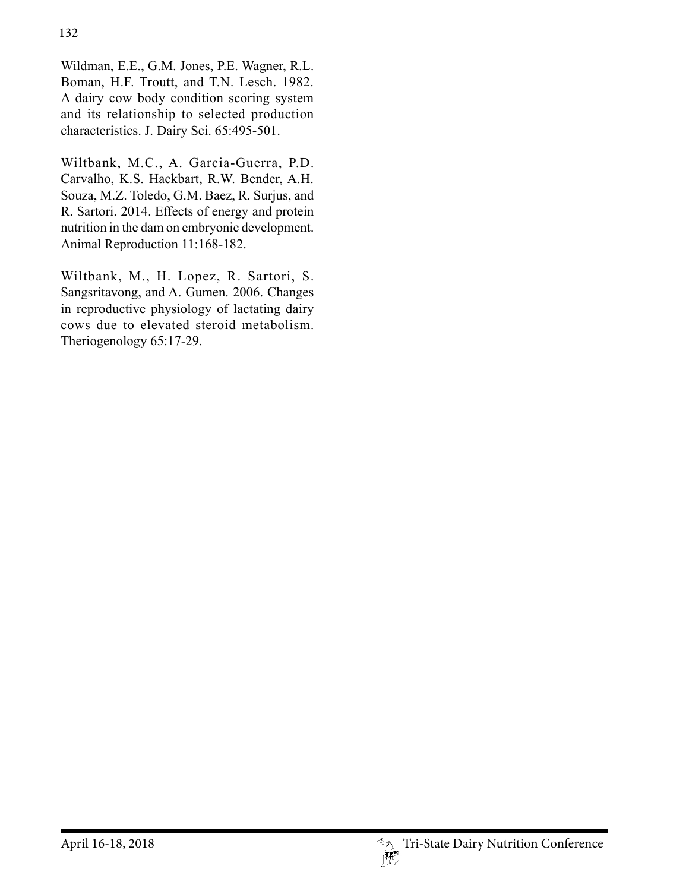Wildman, E.E., G.M. Jones, P.E. Wagner, R.L. Boman, H.F. Troutt, and T.N. Lesch. 1982. A dairy cow body condition scoring system and its relationship to selected production characteristics. J. Dairy Sci. 65:495-501.

Wiltbank, M.C., A. Garcia-Guerra, P.D. Carvalho, K.S. Hackbart, R.W. Bender, A.H. Souza, M.Z. Toledo, G.M. Baez, R. Surjus, and R. Sartori. 2014. Effects of energy and protein nutrition in the dam on embryonic development. Animal Reproduction 11:168-182.

Wiltbank, M., H. Lopez, R. Sartori, S. Sangsritavong, and A. Gumen. 2006. Changes in reproductive physiology of lactating dairy cows due to elevated steroid metabolism. Theriogenology 65:17-29.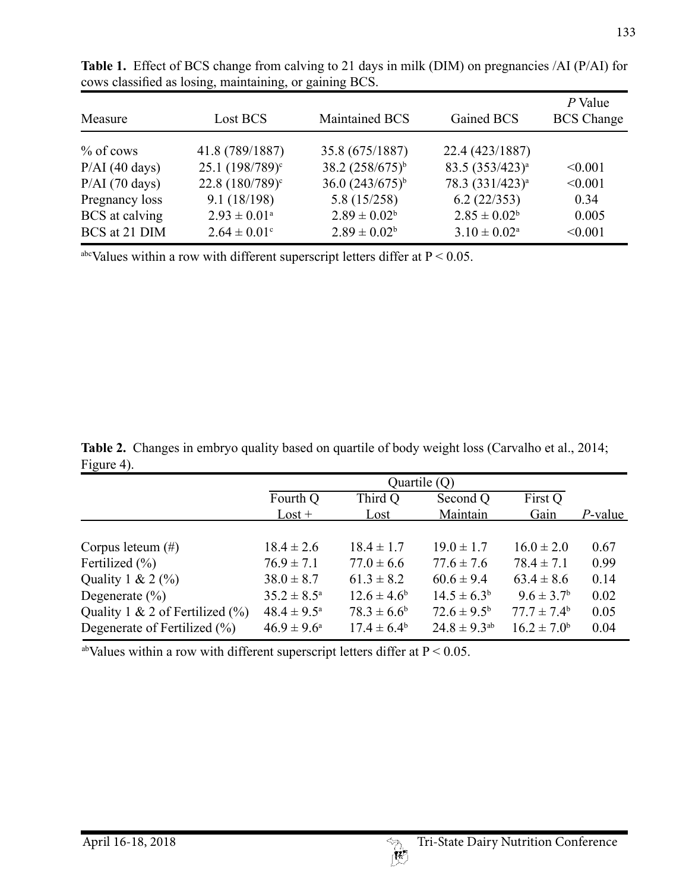| Measure          | Lost BCS                   | Maintained BCS       | Gained BCS                  | P Value<br><b>BCS</b> Change |
|------------------|----------------------------|----------------------|-----------------------------|------------------------------|
| $%$ of cows      | 41.8 (789/1887)            | 35.8 (675/1887)      | 22.4 (423/1887)             |                              |
| $P/AI$ (40 days) | $25.1 (198/789)^c$         | 38.2 $(258/675)^b$   | $83.5(353/423)^{a}$         | < 0.001                      |
| $P/AI$ (70 days) | $22.8(180/789)^c$          | 36.0 $(243/675)^{b}$ | 78.3 (331/423) <sup>a</sup> | < 0.001                      |
| Pregnancy loss   | 9.1(18/198)                | 5.8(15/258)          | 6.2(22/353)                 | 0.34                         |
| BCS at calving   | $2.93 \pm 0.01^{\text{a}}$ | $2.89 \pm 0.02^b$    | $2.85 \pm 0.02^b$           | 0.005                        |
| BCS at 21 DIM    | $2.64 \pm 0.01$ °          | $2.89 \pm 0.02^b$    | $3.10 \pm 0.02^{\text{a}}$  | < 0.001                      |

Table 1. Effect of BCS change from calving to 21 days in milk (DIM) on pregnancies /AI (P/AI) for cows classified as losing, maintaining, or gaining BCS.

abcValues within a row with different superscript letters differ at  $P < 0.05$ .

Table 2. Changes in embryo quality based on quartile of body weight loss (Carvalho et al., 2014; Figure 4).

|                                     | Quartile $(Q)$         |                  |                        |                        |            |
|-------------------------------------|------------------------|------------------|------------------------|------------------------|------------|
|                                     | Fourth Q               | Third Q          | Second Q               | First Q                |            |
|                                     | $\text{Lost} +$        | Lost             | Maintain               | Gain                   | $P$ -value |
|                                     |                        |                  |                        |                        |            |
| Corpus leteum $(\#)$                | $18.4 \pm 2.6$         | $18.4 \pm 1.7$   | $19.0 \pm 1.7$         | $16.0 \pm 2.0$         | 0.67       |
| Fertilized $(\% )$                  | $76.9 \pm 7.1$         | $77.0 \pm 6.6$   | $77.6 \pm 7.6$         | $78.4 \pm 7.1$         | 0.99       |
| Quality 1 & 2 $(\%$                 | $38.0 \pm 8.7$         | $61.3 \pm 8.2$   | $60.6 \pm 9.4$         | $63.4 \pm 8.6$         | 0.14       |
| Degenerate $(\% )$                  | $35.2 \pm 8.5^{\circ}$ | $12.6 \pm 4.6^b$ | $14.5 \pm 6.3^b$       | $9.6 \pm 3.7^{\rm b}$  | 0.02       |
| Quality 1 & 2 of Fertilized $(\% )$ | $48.4 \pm 9.5^{\circ}$ | $78.3 \pm 6.6^b$ | $72.6 \pm 9.5^{\rm b}$ | $77.7 \pm 7.4^{\rm b}$ | 0.05       |
| Degenerate of Fertilized $(\% )$    | $46.9 \pm 9.6^{\circ}$ | $17.4 \pm 6.4^b$ | $24.8 \pm 9.3^{ab}$    | $16.2 \pm 7.0^b$       | 0.04       |

<sup>ab</sup>Values within a row with different superscript letters differ at  $P < 0.05$ .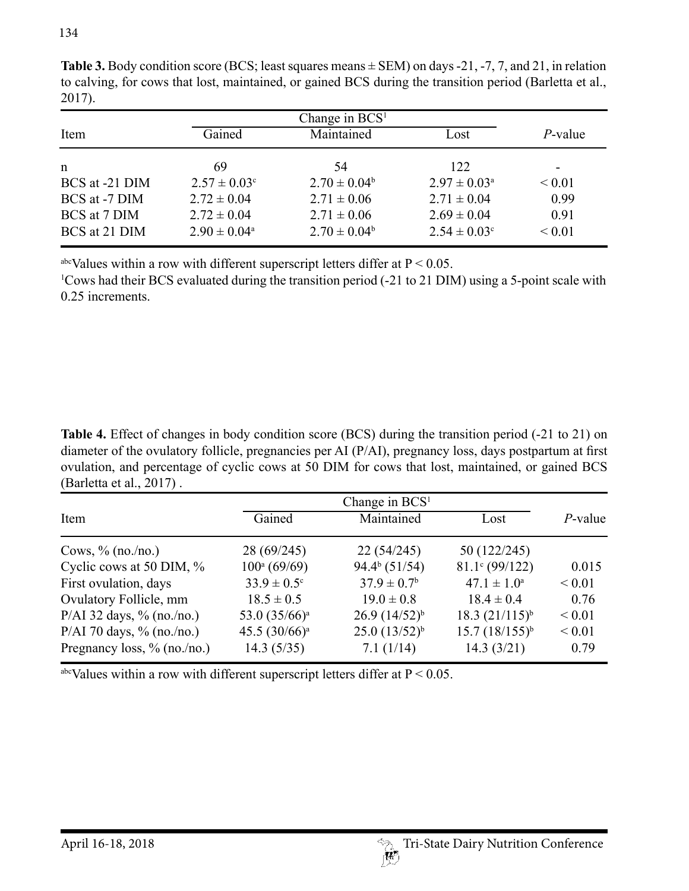| Change in $BCS1$ |                              |                   |                         |                 |  |
|------------------|------------------------------|-------------------|-------------------------|-----------------|--|
| Item             | Gained                       | Maintained        | Lost                    | <i>P</i> -value |  |
| n                | 69                           | 54                | 122                     | -               |  |
| BCS at -21 DIM   | $2.57 \pm 0.03$ <sup>c</sup> | $2.70 \pm 0.04^b$ | $2.97 \pm 0.03^{\circ}$ | ${}_{0.01}$     |  |
| BCS at -7 DIM    | $2.72 \pm 0.04$              | $2.71 \pm 0.06$   | $2.71 \pm 0.04$         | 0.99            |  |
| BCS at 7 DIM     | $2.72 \pm 0.04$              | $2.71 \pm 0.06$   | $2.69 \pm 0.04$         | 0.91            |  |
| BCS at 21 DIM    | $2.90 \pm 0.04^{\circ}$      | $2.70 \pm 0.04^b$ | $2.54 \pm 0.03$ °       | ${}_{0.01}$     |  |

**Table 3.** Body condition score (BCS; least squares means ± SEM) on days -21, -7, 7, and 21, in relation to calving, for cows that lost, maintained, or gained BCS during the transition period (Barletta et al., 2017).

abcValues within a row with different superscript letters differ at  $P < 0.05$ .

1 Cows had their BCS evaluated during the transition period (-21 to 21 DIM) using a 5-point scale with 0.25 increments.

**Table 4.** Effect of changes in body condition score (BCS) during the transition period (-21 to 21) on diameter of the ovulatory follicle, pregnancies per AI (P/AI), pregnancy loss, days postpartum at first ovulation, and percentage of cyclic cows at 50 DIM for cows that lost, maintained, or gained BCS (Barletta et al., 2017) .

|                                | Change in $BCS1$            |                             |                         |             |
|--------------------------------|-----------------------------|-----------------------------|-------------------------|-------------|
| Item                           | Gained                      | Maintained                  | Lost                    | $P$ -value  |
| Cows, $\%$ (no./no.)           | 28 (69/245)                 | 22(54/245)                  | 50 (122/245)            |             |
| Cyclic cows at 50 DIM, %       | $100^a (69/69)$             | 94.4 <sup>b</sup> (51/54)   | $81.1^{\circ}$ (99/122) | 0.015       |
| First ovulation, days          | $33.9 \pm 0.5$ <sup>c</sup> | $37.9 \pm 0.7$ <sup>b</sup> | $47.1 \pm 1.0^a$        | ${}_{0.01}$ |
| Ovulatory Follicle, mm         | $18.5 \pm 0.5$              | $19.0 \pm 0.8$              | $18.4 \pm 0.4$          | 0.76        |
| P/AI 32 days, $\%$ (no./no.)   | 53.0 (35/66) <sup>a</sup>   | $26.9(14/52)^{b}$           | $18.3 (21/115)^{b}$     | ${}< 0.01$  |
| P/AI 70 days, $\%$ (no./no.)   | 45.5 $(30/66)^a$            | $25.0(13/52)^{b}$           | $15.7(18/155)^{b}$      | ${}< 0.01$  |
| Pregnancy loss, $\%$ (no./no.) | 14.3(5/35)                  | 7.1(1/14)                   | 14.3(3/21)              | 0.79        |

<sup>abc</sup>Values within a row with different superscript letters differ at  $P < 0.05$ .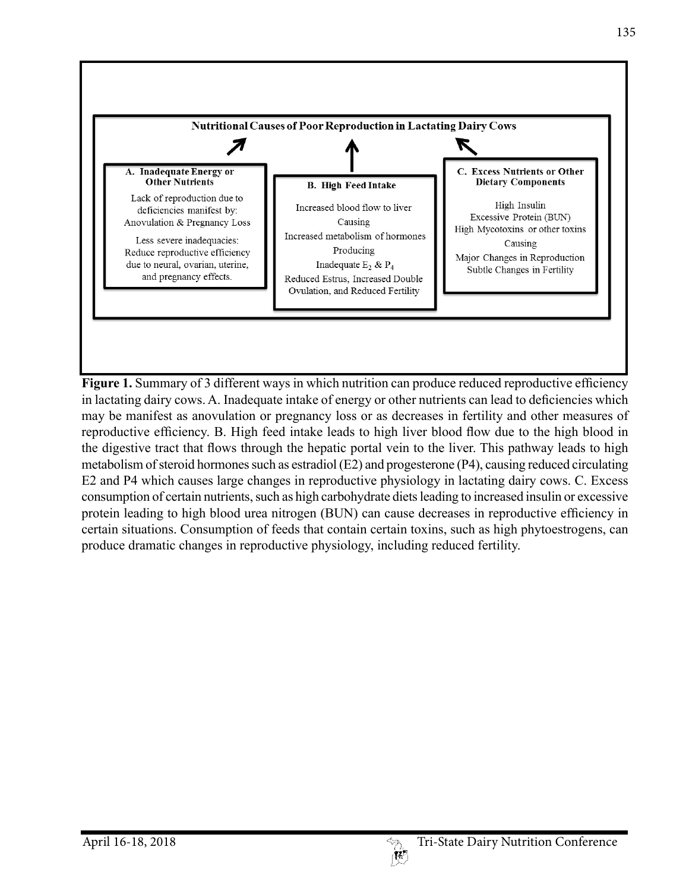

**Figure 1.** Summary of 3 different ways in which nutrition can produce reduced reproductive efficiency in lactating dairy cows. A. Inadequate intake of energy or other nutrients can lead to deficiencies which may be manifest as anovulation or pregnancy loss or as decreases in fertility and other measures of reproductive efficiency. B. High feed intake leads to high liver blood flow due to the high blood in the digestive tract that flows through the hepatic portal vein to the liver. This pathway leads to high metabolism of steroid hormones such as estradiol (E2) and progesterone (P4), causing reduced circulating E2 and P4 which causes large changes in reproductive physiology in lactating dairy cows. C. Excess consumption of certain nutrients, such as high carbohydrate diets leading to increased insulin or excessive protein leading to high blood urea nitrogen (BUN) can cause decreases in reproductive efficiency in certain situations. Consumption of feeds that contain certain toxins, such as high phytoestrogens, can produce dramatic changes in reproductive physiology, including reduced fertility.

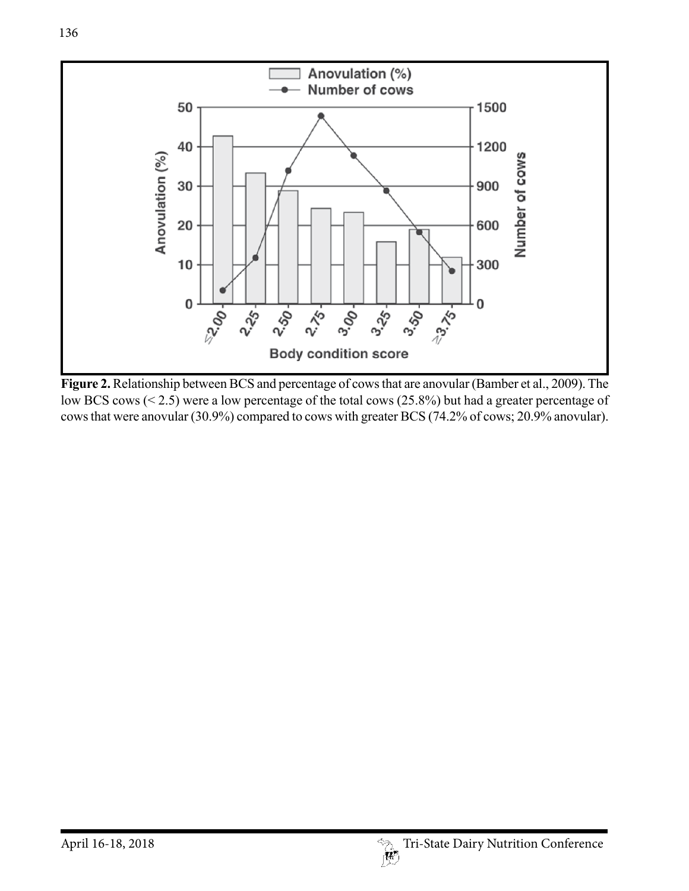

**Figure 2.** Relationship between BCS and percentage of cows that are anovular (Bamber et al., 2009). The low BCS cows (< 2.5) were a low percentage of the total cows (25.8%) but had a greater percentage of cows that were anovular (30.9%) compared to cows with greater BCS (74.2% of cows; 20.9% anovular).

136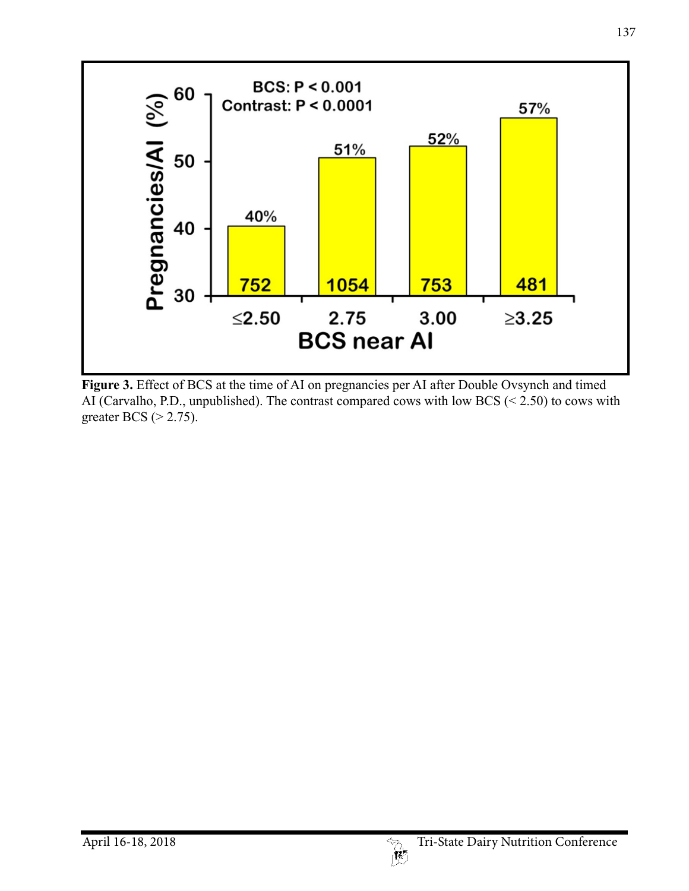

**Figure 3.** Effect of BCS at the time of AI on pregnancies per AI after Double Ovsynch and timed AI (Carvalho, P.D., unpublished). The contrast compared cows with low BCS (< 2.50) to cows with greater BCS (> 2.75).